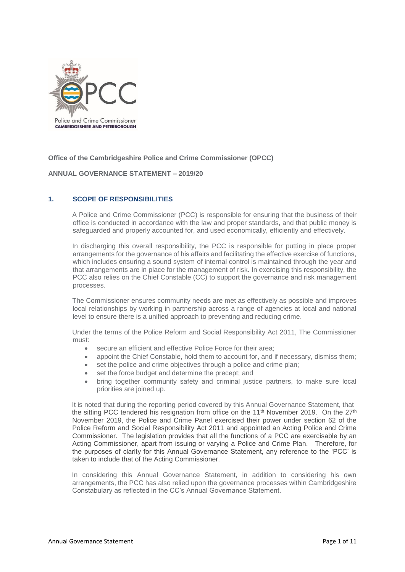

**Office of the Cambridgeshire Police and Crime Commissioner (OPCC)**

**ANNUAL GOVERNANCE STATEMENT – 2019/20**

## **1. SCOPE OF RESPONSIBILITIES**

A Police and Crime Commissioner (PCC) is responsible for ensuring that the business of their office is conducted in accordance with the law and proper standards, and that public money is safeguarded and properly accounted for, and used economically, efficiently and effectively.

In discharging this overall responsibility, the PCC is responsible for putting in place proper arrangements for the governance of his affairs and facilitating the effective exercise of functions, which includes ensuring a sound system of internal control is maintained through the year and that arrangements are in place for the management of risk. In exercising this responsibility, the PCC also relies on the Chief Constable (CC) to support the governance and risk management processes.

The Commissioner ensures community needs are met as effectively as possible and improves local relationships by working in partnership across a range of agencies at local and national level to ensure there is a unified approach to preventing and reducing crime.

Under the terms of the Police Reform and Social Responsibility Act 2011, The Commissioner must:

- secure an efficient and effective Police Force for their area;
- appoint the Chief Constable, hold them to account for, and if necessary, dismiss them;
- set the police and crime objectives through a police and crime plan;
- set the force budget and determine the precept; and
- bring together community safety and criminal justice partners, to make sure local priorities are joined up.

It is noted that during the reporting period covered by this Annual Governance Statement, that the sitting PCC tendered his resignation from office on the 11<sup>th</sup> November 2019. On the 27<sup>th</sup> November 2019, the Police and Crime Panel exercised their power under section 62 of the Police Reform and Social Responsibility Act 2011 and appointed an Acting Police and Crime Commissioner. The legislation provides that all the functions of a PCC are exercisable by an Acting Commissioner, apart from issuing or varying a Police and Crime Plan. Therefore, for the purposes of clarity for this Annual Governance Statement, any reference to the 'PCC' is taken to include that of the Acting Commissioner.

In considering this Annual Governance Statement, in addition to considering his own arrangements, the PCC has also relied upon the governance processes within Cambridgeshire Constabulary as reflected in the CC's Annual Governance Statement.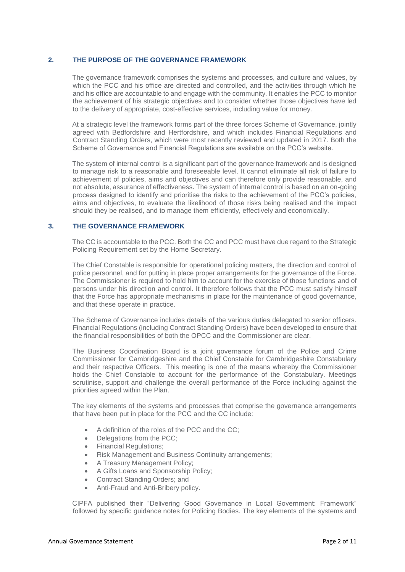## **2. THE PURPOSE OF THE GOVERNANCE FRAMEWORK**

The governance framework comprises the systems and processes, and culture and values, by which the PCC and his office are directed and controlled, and the activities through which he and his office are accountable to and engage with the community. It enables the PCC to monitor the achievement of his strategic objectives and to consider whether those objectives have led to the delivery of appropriate, cost-effective services, including value for money.

At a strategic level the framework forms part of the three forces Scheme of Governance, jointly agreed with Bedfordshire and Hertfordshire, and which includes Financial Regulations and Contract Standing Orders, which were most recently reviewed and updated in 2017. Both the Scheme of Governance and Financial Regulations are available on the PCC's website.

The system of internal control is a significant part of the governance framework and is designed to manage risk to a reasonable and foreseeable level. It cannot eliminate all risk of failure to achievement of policies, aims and objectives and can therefore only provide reasonable, and not absolute, assurance of effectiveness. The system of internal control is based on an on-going process designed to identify and prioritise the risks to the achievement of the PCC's policies, aims and objectives, to evaluate the likelihood of those risks being realised and the impact should they be realised, and to manage them efficiently, effectively and economically.

## **3. THE GOVERNANCE FRAMEWORK**

The CC is accountable to the PCC. Both the CC and PCC must have due regard to the Strategic Policing Requirement set by the Home Secretary.

The Chief Constable is responsible for operational policing matters, the direction and control of police personnel, and for putting in place proper arrangements for the governance of the Force. The Commissioner is required to hold him to account for the exercise of those functions and of persons under his direction and control. It therefore follows that the PCC must satisfy himself that the Force has appropriate mechanisms in place for the maintenance of good governance, and that these operate in practice.

The Scheme of Governance includes details of the various duties delegated to senior officers. Financial Regulations (including Contract Standing Orders) have been developed to ensure that the financial responsibilities of both the OPCC and the Commissioner are clear.

The Business Coordination Board is a joint governance forum of the Police and Crime Commissioner for Cambridgeshire and the Chief Constable for Cambridgeshire Constabulary and their respective Officers. This meeting is one of the means whereby the Commissioner holds the Chief Constable to account for the performance of the Constabulary. Meetings scrutinise, support and challenge the overall performance of the Force including against the priorities agreed within the Plan.

The key elements of the systems and processes that comprise the governance arrangements that have been put in place for the PCC and the CC include:

- A definition of the roles of the PCC and the CC;
- Delegations from the PCC;
- Financial Regulations;
- Risk Management and Business Continuity arrangements;
- A Treasury Management Policy;
- A Gifts Loans and Sponsorship Policy;
- Contract Standing Orders; and
- Anti-Fraud and Anti-Bribery policy.

CIPFA published their "Delivering Good Governance in Local Government: Framework" followed by specific guidance notes for Policing Bodies. The key elements of the systems and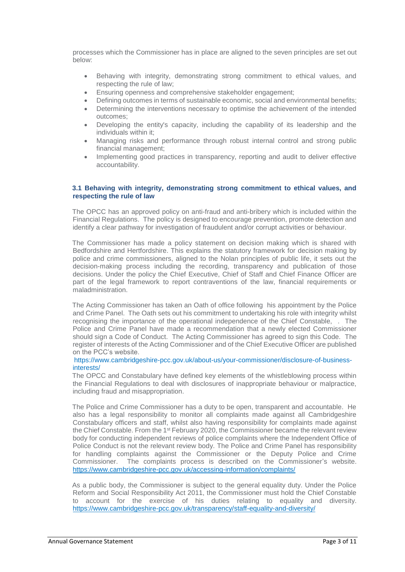processes which the Commissioner has in place are aligned to the seven principles are set out below:

- Behaving with integrity, demonstrating strong commitment to ethical values, and respecting the rule of law;
- Ensuring openness and comprehensive stakeholder engagement;
- Defining outcomes in terms of sustainable economic, social and environmental benefits;
- Determining the interventions necessary to optimise the achievement of the intended outcomes;
- Developing the entity's capacity, including the capability of its leadership and the individuals within it;
- Managing risks and performance through robust internal control and strong public financial management;
- Implementing good practices in transparency, reporting and audit to deliver effective accountability.

## **3.1 Behaving with integrity, demonstrating strong commitment to ethical values, and respecting the rule of law**

The OPCC has an approved policy on anti-fraud and anti-bribery which is included within the Financial Regulations. The policy is designed to encourage prevention, promote detection and identify a clear pathway for investigation of fraudulent and/or corrupt activities or behaviour.

The Commissioner has made a policy statement on decision making which is shared with Bedfordshire and Hertfordshire. This explains the statutory framework for decision making by police and crime commissioners, aligned to the Nolan principles of public life, it sets out the decision-making process including the recording, transparency and publication of those decisions. Under the policy the Chief Executive, Chief of Staff and Chief Finance Officer are part of the legal framework to report contraventions of the law, financial requirements or maladministration.

The Acting Commissioner has taken an Oath of office following his appointment by the Police and Crime Panel. The Oath sets out his commitment to undertaking his role with integrity whilst recognising the importance of the operational independence of the Chief Constable, . The Police and Crime Panel have made a recommendation that a newly elected Commissioner should sign a Code of Conduct. The Acting Commissioner has agreed to sign this Code. The register of interests of the Acting Commissioner and of the Chief Executive Officer are published on the PCC's website.

### https://www.cambridgeshire-pcc.gov.uk/about-us/your-commissioner/disclosure-of-businessinterests/

The OPCC and Constabulary have defined key elements of the whistleblowing process within the Financial Regulations to deal with disclosures of inappropriate behaviour or malpractice, including fraud and misappropriation.

The Police and Crime Commissioner has a duty to be open, transparent and accountable. He also has a legal responsibility to monitor all complaints made against all Cambridgeshire Constabulary officers and staff, whilst also having responsibility for complaints made against the Chief Constable. From the 1<sup>st</sup> February 2020, the Commissioner became the relevant review body for conducting independent reviews of police complaints where the Independent Office of Police Conduct is not the relevant review body. The Police and Crime Panel has responsibility for handling complaints against the Commissioner or the Deputy Police and Crime Commissioner. The complaints process is described on the Commissioner's website. <https://www.cambridgeshire-pcc.gov.uk/accessing-information/complaints/>

As a public body, the Commissioner is subject to the general equality duty. Under the Police Reform and Social Responsibility Act 2011, the Commissioner must hold the Chief Constable to account for the exercise of his duties relating to equality and diversity. <https://www.cambridgeshire-pcc.gov.uk/transparency/staff-equality-and-diversity/>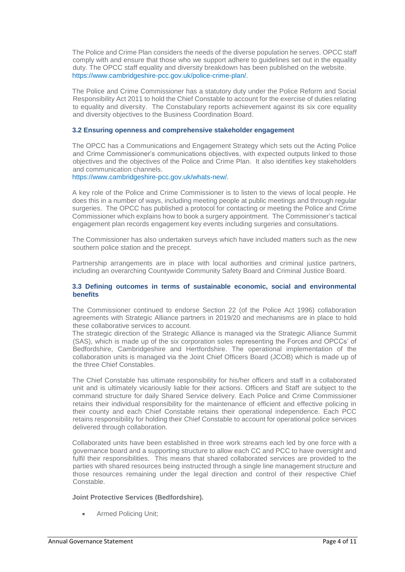The Police and Crime Plan considers the needs of the diverse population he serves. OPCC staff comply with and ensure that those who we support adhere to guidelines set out in the equality duty. The OPCC staff equality and diversity breakdown has been published on the website. https://www.cambridgeshire-pcc.gov.uk/police-crime-plan/.

The Police and Crime Commissioner has a statutory duty under the Police Reform and Social Responsibility Act 2011 to hold the Chief Constable to account for the exercise of duties relating to equality and diversity. The Constabulary reports achievement against its six core equality and diversity objectives to the Business Coordination Board.

## **3.2 Ensuring openness and comprehensive stakeholder engagement**

The OPCC has a Communications and Engagement Strategy which sets out the Acting Police and Crime Commissioner's communications objectives, with expected outputs linked to those objectives and the objectives of the Police and Crime Plan. It also identifies key stakeholders and communication channels.

## https://www.cambridgeshire-pcc.gov.uk/whats-new/.

A key role of the Police and Crime Commissioner is to listen to the views of local people. He does this in a number of ways, including meeting people at public meetings and through regular surgeries. The OPCC has published a protocol for contacting or meeting the Police and Crime Commissioner which explains how to book a surgery appointment. The Commissioner's tactical engagement plan records engagement key events including surgeries and consultations.

The Commissioner has also undertaken surveys which have included matters such as the new southern police station and the precept.

Partnership arrangements are in place with local authorities and criminal justice partners, including an overarching Countywide Community Safety Board and Criminal Justice Board.

## **3.3 Defining outcomes in terms of sustainable economic, social and environmental benefits**

The Commissioner continued to endorse Section 22 (of the Police Act 1996) collaboration agreements with Strategic Alliance partners in 2019/20 and mechanisms are in place to hold these collaborative services to account.

The strategic direction of the Strategic Alliance is managed via the Strategic Alliance Summit (SAS), which is made up of the six corporation soles representing the Forces and OPCCs' of Bedfordshire, Cambridgeshire and Hertfordshire. The operational implementation of the collaboration units is managed via the Joint Chief Officers Board (JCOB) which is made up of the three Chief Constables.

The Chief Constable has ultimate responsibility for his/her officers and staff in a collaborated unit and is ultimately vicariously liable for their actions. Officers and Staff are subject to the command structure for daily Shared Service delivery. Each Police and Crime Commissioner retains their individual responsibility for the maintenance of efficient and effective policing in their county and each Chief Constable retains their operational independence. Each PCC retains responsibility for holding their Chief Constable to account for operational police services delivered through collaboration.

Collaborated units have been established in three work streams each led by one force with a governance board and a supporting structure to allow each CC and PCC to have oversight and fulfil their responsibilities. This means that shared collaborated services are provided to the parties with shared resources being instructed through a single line management structure and those resources remaining under the legal direction and control of their respective Chief Constable.

### **Joint Protective Services (Bedfordshire).**

• Armed Policing Unit;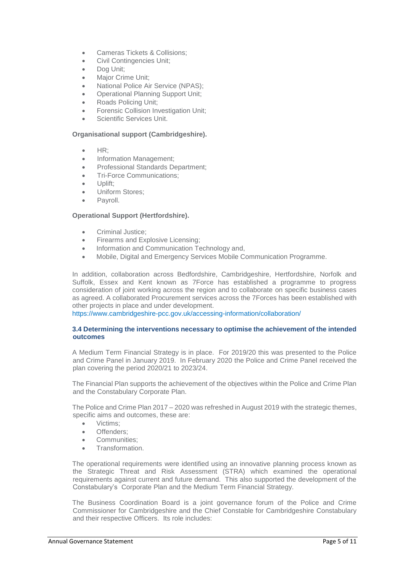- Cameras Tickets & Collisions;
- Civil Contingencies Unit;
- Dog Unit;
- Major Crime Unit;
- National Police Air Service (NPAS);
- Operational Planning Support Unit;
- Roads Policing Unit;
- Forensic Collision Investigation Unit;
- Scientific Services Unit.

## **Organisational support (Cambridgeshire).**

- HR;
- Information Management:
- Professional Standards Department;
- Tri-Force Communications;
- Uplift;
- Uniform Stores;
- Pavroll.

## **Operational Support (Hertfordshire).**

- Criminal Justice;
- Firearms and Explosive Licensing;
- Information and Communication Technology and,
- Mobile, Digital and Emergency Services Mobile Communication Programme.

In addition, collaboration across Bedfordshire, Cambridgeshire, Hertfordshire, Norfolk and Suffolk, Essex and Kent known as 7Force has established a programme to progress consideration of joint working across the region and to collaborate on specific business cases as agreed. A collaborated Procurement services across the 7Forces has been established with other projects in place and under development.

https://www.cambridgeshire-pcc.gov.uk/accessing-information/collaboration/

### **3.4 Determining the interventions necessary to optimise the achievement of the intended outcomes**

A Medium Term Financial Strategy is in place. For 2019/20 this was presented to the Police and Crime Panel in January 2019. In February 2020 the Police and Crime Panel received the plan covering the period 2020/21 to 2023/24.

The Financial Plan supports the achievement of the objectives within the Police and Crime Plan and the Constabulary Corporate Plan.

The Police and Crime Plan 2017 – 2020 was refreshed in August 2019 with the strategic themes, specific aims and outcomes, these are:

- Victims;
- Offenders;
- Communities:
- Transformation.

The operational requirements were identified using an innovative planning process known as the Strategic Threat and Risk Assessment (STRA) which examined the operational requirements against current and future demand. This also supported the development of the Constabulary's Corporate Plan and the Medium Term Financial Strategy.

The Business Coordination Board is a joint governance forum of the Police and Crime Commissioner for Cambridgeshire and the Chief Constable for Cambridgeshire Constabulary and their respective Officers. Its role includes: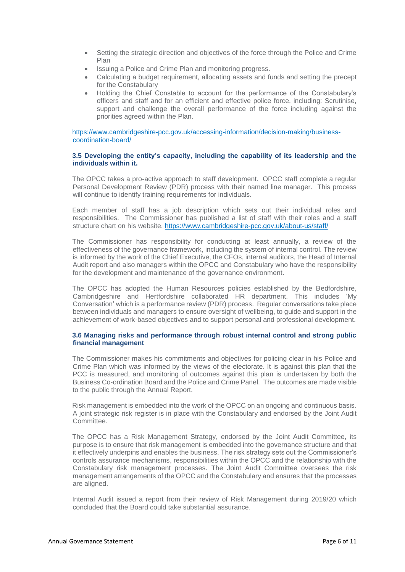- Setting the strategic direction and objectives of the force through the Police and Crime Plan
- Issuing a Police and Crime Plan and monitoring progress.
- Calculating a budget requirement, allocating assets and funds and setting the precept for the Constabulary
- Holding the Chief Constable to account for the performance of the Constabulary's officers and staff and for an efficient and effective police force, including: Scrutinise, support and challenge the overall performance of the force including against the priorities agreed within the Plan.

https://www.cambridgeshire-pcc.gov.uk/accessing-information/decision-making/businesscoordination-board/

### **3.5 Developing the entity's capacity, including the capability of its leadership and the individuals within it.**

The OPCC takes a pro-active approach to staff development. OPCC staff complete a regular Personal Development Review (PDR) process with their named line manager. This process will continue to identify training requirements for individuals.

Each member of staff has a job description which sets out their individual roles and responsibilities. The Commissioner has published a list of staff with their roles and a staff structure chart on his website. <https://www.cambridgeshire-pcc.gov.uk/about-us/staff/>

The Commissioner has responsibility for conducting at least annually, a review of the effectiveness of the governance framework, including the system of internal control. The review is informed by the work of the Chief Executive, the CFOs, internal auditors, the Head of Internal Audit report and also managers within the OPCC and Constabulary who have the responsibility for the development and maintenance of the governance environment.

The OPCC has adopted the Human Resources policies established by the Bedfordshire, Cambridgeshire and Hertfordshire collaborated HR department. This includes 'My Conversation' which is a performance review (PDR) process. Regular conversations take place between individuals and managers to ensure oversight of wellbeing, to guide and support in the achievement of work-based objectives and to support personal and professional development.

## **3.6 Managing risks and performance through robust internal control and strong public financial management**

The Commissioner makes his commitments and objectives for policing clear in his Police and Crime Plan which was informed by the views of the electorate. It is against this plan that the PCC is measured, and monitoring of outcomes against this plan is undertaken by both the Business Co-ordination Board and the Police and Crime Panel. The outcomes are made visible to the public through the Annual Report.

Risk management is embedded into the work of the OPCC on an ongoing and continuous basis. A joint strategic risk register is in place with the Constabulary and endorsed by the Joint Audit Committee.

The OPCC has a Risk Management Strategy, endorsed by the Joint Audit Committee, its purpose is to ensure that risk management is embedded into the governance structure and that it effectively underpins and enables the business. The risk strategy sets out the Commissioner's controls assurance mechanisms, responsibilities within the OPCC and the relationship with the Constabulary risk management processes. The Joint Audit Committee oversees the risk management arrangements of the OPCC and the Constabulary and ensures that the processes are aligned.

Internal Audit issued a report from their review of Risk Management during 2019/20 which concluded that the Board could take substantial assurance.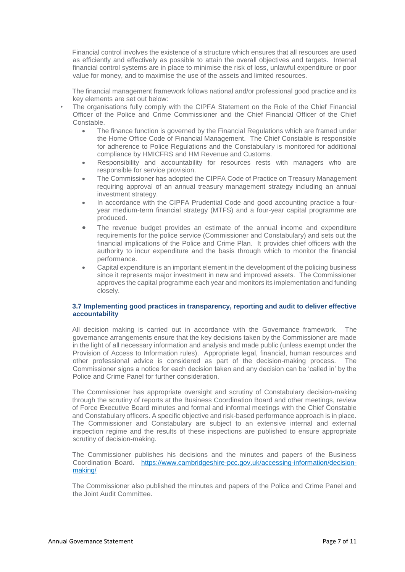Financial control involves the existence of a structure which ensures that all resources are used as efficiently and effectively as possible to attain the overall objectives and targets. Internal financial control systems are in place to minimise the risk of loss, unlawful expenditure or poor value for money, and to maximise the use of the assets and limited resources.

The financial management framework follows national and/or professional good practice and its key elements are set out below:

- The organisations fully comply with the CIPFA Statement on the Role of the Chief Financial Officer of the Police and Crime Commissioner and the Chief Financial Officer of the Chief Constable.
	- The finance function is governed by the Financial Regulations which are framed under the Home Office Code of Financial Management. The Chief Constable is responsible for adherence to Police Regulations and the Constabulary is monitored for additional compliance by HMICFRS and HM Revenue and Customs.
	- Responsibility and accountability for resources rests with managers who are responsible for service provision.
	- The Commissioner has adopted the CIPFA Code of Practice on Treasury Management requiring approval of an annual treasury management strategy including an annual investment strategy.
	- In accordance with the CIPFA Prudential Code and good accounting practice a fouryear medium-term financial strategy (MTFS) and a four-year capital programme are produced.
	- The revenue budget provides an estimate of the annual income and expenditure requirements for the police service (Commissioner and Constabulary) and sets out the financial implications of the Police and Crime Plan. It provides chief officers with the authority to incur expenditure and the basis through which to monitor the financial performance.
	- Capital expenditure is an important element in the development of the policing business since it represents major investment in new and improved assets. The Commissioner approves the capital programme each year and monitors its implementation and funding closely.

## **3.7 Implementing good practices in transparency, reporting and audit to deliver effective accountability**

All decision making is carried out in accordance with the Governance framework. The governance arrangements ensure that the key decisions taken by the Commissioner are made in the light of all necessary information and analysis and made public (unless exempt under the Provision of Access to Information rules). Appropriate legal, financial, human resources and other professional advice is considered as part of the decision-making process. The Commissioner signs a notice for each decision taken and any decision can be 'called in' by the Police and Crime Panel for further consideration.

The Commissioner has appropriate oversight and scrutiny of Constabulary decision-making through the scrutiny of reports at the Business Coordination Board and other meetings, review of Force Executive Board minutes and formal and informal meetings with the Chief Constable and Constabulary officers. A specific objective and risk-based performance approach is in place. The Commissioner and Constabulary are subject to an extensive internal and external inspection regime and the results of these inspections are published to ensure appropriate scrutiny of decision-making.

The Commissioner publishes his decisions and the minutes and papers of the Business Coordination Board. [https://www.cambridgeshire-pcc.gov.uk/accessing-information/decision](https://www.cambridgeshire-pcc.gov.uk/accessing-information/decision-making/)[making/](https://www.cambridgeshire-pcc.gov.uk/accessing-information/decision-making/)

The Commissioner also published the minutes and papers of the Police and Crime Panel and the Joint Audit Committee.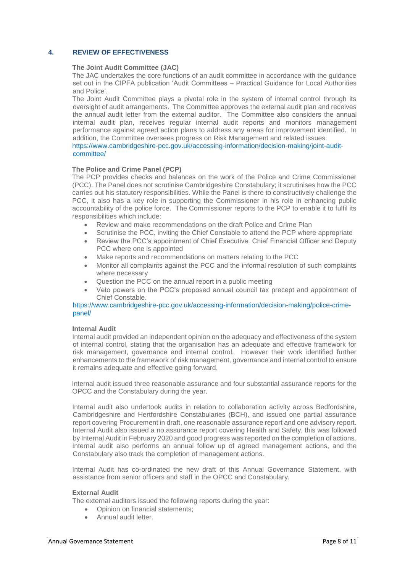# **4. REVIEW OF EFFECTIVENESS**

### **The Joint Audit Committee (JAC)**

The JAC undertakes the core functions of an audit committee in accordance with the guidance set out in the CIPFA publication 'Audit Committees – Practical Guidance for Local Authorities and Police'.

The Joint Audit Committee plays a pivotal role in the system of internal control through its oversight of audit arrangements. The Committee approves the external audit plan and receives the annual audit letter from the external auditor. The Committee also considers the annual internal audit plan, receives regular internal audit reports and monitors management performance against agreed action plans to address any areas for improvement identified. In addition, the Committee oversees progress on Risk Management and related issues.

https://www.cambridgeshire-pcc.gov.uk/accessing-information/decision-making/joint-auditcommittee/

## **The Police and Crime Panel (PCP)**

The PCP provides checks and balances on the work of the Police and Crime Commissioner (PCC). The Panel does not scrutinise Cambridgeshire Constabulary; it scrutinises how the PCC carries out his statutory responsibilities. While the Panel is there to constructively challenge the PCC, it also has a key role in supporting the Commissioner in his role in enhancing public accountability of the police force. The Commissioner reports to the PCP to enable it to fulfil its responsibilities which include:

- Review and make recommendations on the draft Police and Crime Plan
- Scrutinise the PCC, inviting the Chief Constable to attend the PCP where appropriate
- Review the PCC's appointment of Chief Executive, Chief Financial Officer and Deputy PCC where one is appointed
- Make reports and recommendations on matters relating to the PCC
- Monitor all complaints against the PCC and the informal resolution of such complaints where necessary
- Question the PCC on the annual report in a public meeting
- Veto powers on the PCC's proposed annual council tax precept and appointment of Chief Constable.

## https://www.cambridgeshire-pcc.gov.uk/accessing-information/decision-making/police-crimepanel/

### **Internal Audit**

Internal audit provided an independent opinion on the adequacy and effectiveness of the system of internal control, stating that the organisation has an adequate and effective framework for risk management, governance and internal control. However their work identified further enhancements to the framework of risk management, governance and internal control to ensure it remains adequate and effective going forward,

Internal audit issued three reasonable assurance and four substantial assurance reports for the OPCC and the Constabulary during the year.

Internal audit also undertook audits in relation to collaboration activity across Bedfordshire, Cambridgeshire and Hertfordshire Constabularies (BCH), and issued one partial assurance report covering Procurement in draft, one reasonable assurance report and one advisory report. Internal Audit also issued a no assurance report covering Health and Safety, this was followed by Internal Audit in February 2020 and good progress was reported on the completion of actions. Internal audit also performs an annual follow up of agreed management actions, and the Constabulary also track the completion of management actions.

Internal Audit has co-ordinated the new draft of this Annual Governance Statement, with assistance from senior officers and staff in the OPCC and Constabulary.

### **External Audit**

The external auditors issued the following reports during the year:

- Opinion on financial statements;
- Annual audit letter.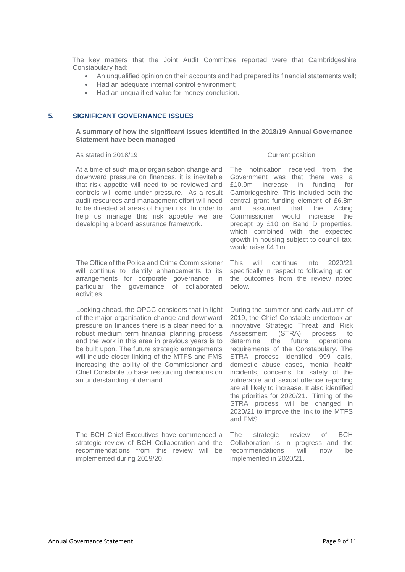The key matters that the Joint Audit Committee reported were that Cambridgeshire Constabulary had:

- An unqualified opinion on their accounts and had prepared its financial statements well;
- Had an adequate internal control environment;
- Had an unqualified value for money conclusion.

## **5. SIGNIFICANT GOVERNANCE ISSUES**

## **A summary of how the significant issues identified in the 2018/19 Annual Governance Statement have been managed**

#### As stated in 2018/19 **Current position**

At a time of such major organisation change and downward pressure on finances, it is inevitable that risk appetite will need to be reviewed and controls will come under pressure. As a result audit resources and management effort will need to be directed at areas of higher risk. In order to help us manage this risk appetite we are developing a board assurance framework.

The Office of the Police and Crime Commissioner will continue to identify enhancements to its arrangements for corporate governance, in particular the governance of collaborated activities.

Looking ahead, the OPCC considers that in light of the major organisation change and downward pressure on finances there is a clear need for a robust medium term financial planning process and the work in this area in previous years is to be built upon. The future strategic arrangements will include closer linking of the MTFS and FMS increasing the ability of the Commissioner and Chief Constable to base resourcing decisions on an understanding of demand.

The BCH Chief Executives have commenced a strategic review of BCH Collaboration and the recommendations from this review will be implemented during 2019/20.

The notification received from the Government was that there was a £10.9m increase in funding for Cambridgeshire. This included both the central grant funding element of £6.8m and assumed that the Acting Commissioner would increase the precept by £10 on Band D properties, which combined with the expected growth in housing subject to council tax, would raise £4.1m.

This will continue into 2020/21 specifically in respect to following up on the outcomes from the review noted below.

During the summer and early autumn of 2019, the Chief Constable undertook an innovative Strategic Threat and Risk Assessment (STRA) process to determine the future operational requirements of the Constabulary. The STRA process identified 999 calls, domestic abuse cases, mental health incidents, concerns for safety of the vulnerable and sexual offence reporting are all likely to increase. It also identified the priorities for 2020/21. Timing of the STRA process will be changed in 2020/21 to improve the link to the MTFS and FMS.

The strategic review of BCH Collaboration is in progress and the recommendations will now be implemented in 2020/21.